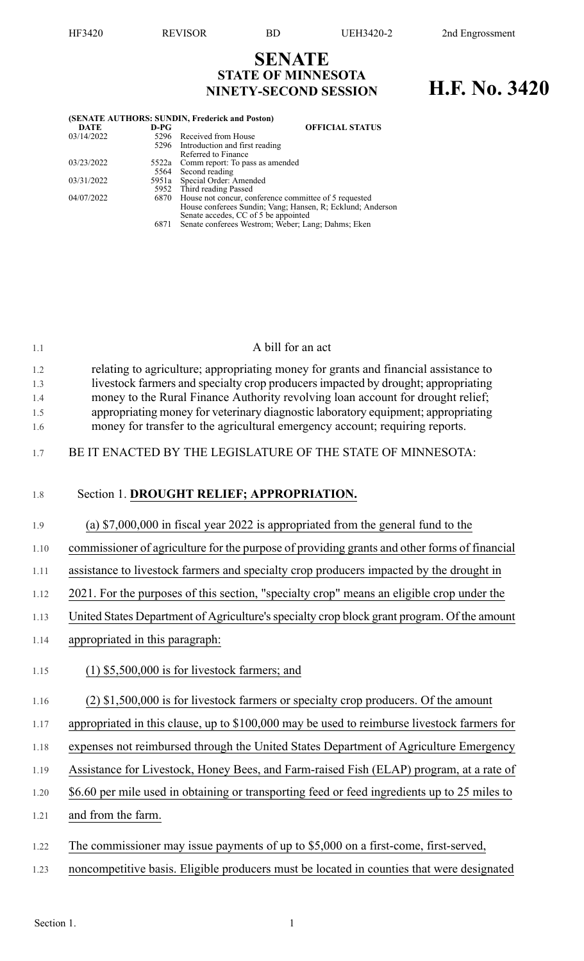## **SENATE STATE OF MINNESOTA NINETY-SECOND SESSION H.F. No. 3420**

| (SENATE AUTHORS: SUNDIN, Frederick and Poston) |      |                                                            |  |  |  |  |  |
|------------------------------------------------|------|------------------------------------------------------------|--|--|--|--|--|
| <b>DATE</b>                                    | D-PG | <b>OFFICIAL STATUS</b>                                     |  |  |  |  |  |
| 03/14/2022                                     |      | 5296 Received from House                                   |  |  |  |  |  |
|                                                |      | 5296 Introduction and first reading                        |  |  |  |  |  |
|                                                |      | Referred to Finance                                        |  |  |  |  |  |
| 03/23/2022                                     |      | 5522a Comm report: To pass as amended                      |  |  |  |  |  |
|                                                |      | 5564 Second reading                                        |  |  |  |  |  |
| 03/31/2022                                     |      | 5951a Special Order: Amended                               |  |  |  |  |  |
|                                                |      | 5952 Third reading Passed                                  |  |  |  |  |  |
| 04/07/2022                                     |      | 6870 House not concur, conference committee of 5 requested |  |  |  |  |  |
|                                                |      | House conferees Sundin; Vang; Hansen, R; Ecklund; Anderson |  |  |  |  |  |
|                                                |      | Senate accedes, CC of 5 be appointed                       |  |  |  |  |  |
|                                                | 6871 | Senate conferees Westrom; Weber; Lang; Dahms; Eken         |  |  |  |  |  |

| 1.1        | A bill for an act                                                                                                                                                    |
|------------|----------------------------------------------------------------------------------------------------------------------------------------------------------------------|
| 1.2        | relating to agriculture; appropriating money for grants and financial assistance to                                                                                  |
| 1.3        | livestock farmers and specialty crop producers impacted by drought; appropriating                                                                                    |
| 1.4<br>1.5 | money to the Rural Finance Authority revolving loan account for drought relief;<br>appropriating money for veterinary diagnostic laboratory equipment; appropriating |
| 1.6        | money for transfer to the agricultural emergency account; requiring reports.                                                                                         |
|            |                                                                                                                                                                      |
| 1.7        | BE IT ENACTED BY THE LEGISLATURE OF THE STATE OF MINNESOTA:                                                                                                          |
|            |                                                                                                                                                                      |
| 1.8        | Section 1. DROUGHT RELIEF; APPROPRIATION.                                                                                                                            |
|            |                                                                                                                                                                      |
| 1.9        | (a) $$7,000,000$ in fiscal year 2022 is appropriated from the general fund to the                                                                                    |
| 1.10       | commissioner of agriculture for the purpose of providing grants and other forms of financial                                                                         |
| 1.11       | assistance to livestock farmers and specialty crop producers impacted by the drought in                                                                              |
| 1.12       | 2021. For the purposes of this section, "specialty crop" means an eligible crop under the                                                                            |
| 1.13       | United States Department of Agriculture's specialty crop block grant program. Of the amount                                                                          |
| 1.14       | appropriated in this paragraph:                                                                                                                                      |
| 1.15       | $(1)$ \$5,500,000 is for livestock farmers; and                                                                                                                      |

## 1.16 (2) \$1,500,000 is for livestock farmers or specialty crop producers. Of the amount

- 1.17 appropriated in this clause, up to \$100,000 may be used to reimburse livestock farmers for
- 1.18 expenses not reimbursed through the United States Department of Agriculture Emergency
- 1.19 Assistance for Livestock, Honey Bees, and Farm-raised Fish (ELAP) program, at a rate of
- 1.20 \$6.60 per mile used in obtaining or transporting feed or feed ingredients up to 25 miles to
- 1.21 and from the farm.
- 1.22 The commissioner may issue payments of up to \$5,000 on a first-come, first-served,
- 1.23 noncompetitive basis. Eligible producers must be located in counties that were designated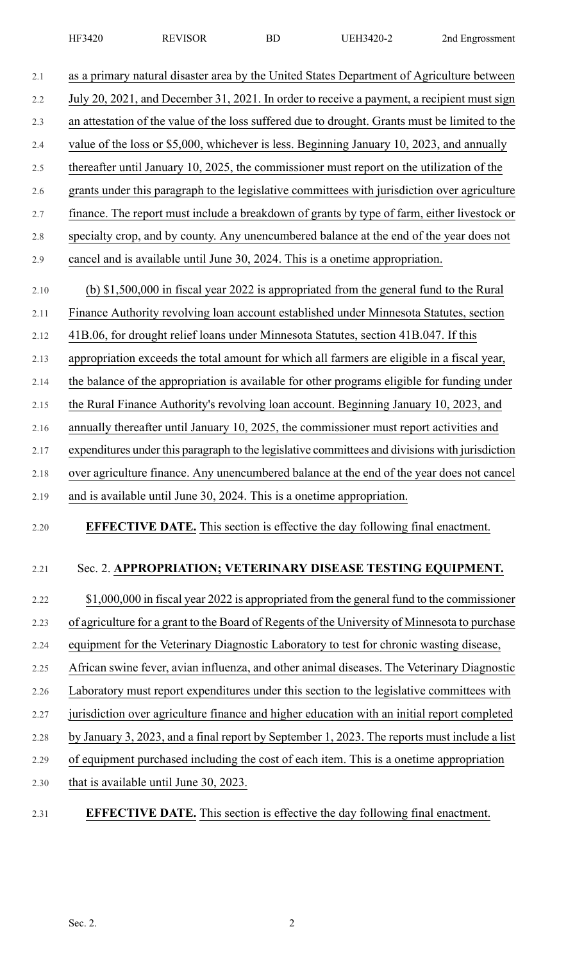| 2.1  | as a primary natural disaster area by the United States Department of Agriculture between       |
|------|-------------------------------------------------------------------------------------------------|
| 2.2  | July 20, 2021, and December 31, 2021. In order to receive a payment, a recipient must sign      |
| 2.3  | an attestation of the value of the loss suffered due to drought. Grants must be limited to the  |
| 2.4  | value of the loss or \$5,000, whichever is less. Beginning January 10, 2023, and annually       |
| 2.5  | thereafter until January 10, 2025, the commissioner must report on the utilization of the       |
| 2.6  | grants under this paragraph to the legislative committees with jurisdiction over agriculture    |
| 2.7  | finance. The report must include a breakdown of grants by type of farm, either livestock or     |
| 2.8  | specialty crop, and by county. Any unencumbered balance at the end of the year does not         |
| 2.9  | cancel and is available until June 30, 2024. This is a onetime appropriation.                   |
| 2.10 | (b) \$1,500,000 in fiscal year 2022 is appropriated from the general fund to the Rural          |
| 2.11 | Finance Authority revolving loan account established under Minnesota Statutes, section          |
| 2.12 | 41B.06, for drought relief loans under Minnesota Statutes, section 41B.047. If this             |
| 2.13 | appropriation exceeds the total amount for which all farmers are eligible in a fiscal year,     |
| 2.14 | the balance of the appropriation is available for other programs eligible for funding under     |
| 2.15 | the Rural Finance Authority's revolving loan account. Beginning January 10, 2023, and           |
| 2.16 | annually thereafter until January 10, 2025, the commissioner must report activities and         |
| 2.17 | expenditures under this paragraph to the legislative committees and divisions with jurisdiction |
| 2.18 | over agriculture finance. Any unencumbered balance at the end of the year does not cancel       |
| 2.19 | and is available until June 30, 2024. This is a onetime appropriation.                          |
| 2.20 | <b>EFFECTIVE DATE.</b> This section is effective the day following final enactment.             |
| 2.21 | Sec. 2. APPROPRIATION; VETERINARY DISEASE TESTING EQUIPMENT.                                    |

2.22 \$1,000,000 in fiscal year 2022 is appropriated from the general fund to the commissioner 2.23 of agriculture for a grant to the Board of Regents of the University of Minnesota to purchase 2.24 equipment for the Veterinary Diagnostic Laboratory to test for chronic wasting disease, 2.25 African swine fever, avian influenza, and other animal diseases. The Veterinary Diagnostic 2.26 Laboratory must report expenditures under this section to the legislative committees with 2.27 jurisdiction over agriculture finance and higher education with an initial report completed 2.28 by January 3, 2023, and a final report by September 1, 2023. The reports must include a list 2.29 of equipment purchased including the cost of each item. This is a onetime appropriation 2.30 that is available until June 30, 2023.

2.31 **EFFECTIVE DATE.** This section is effective the day following final enactment.